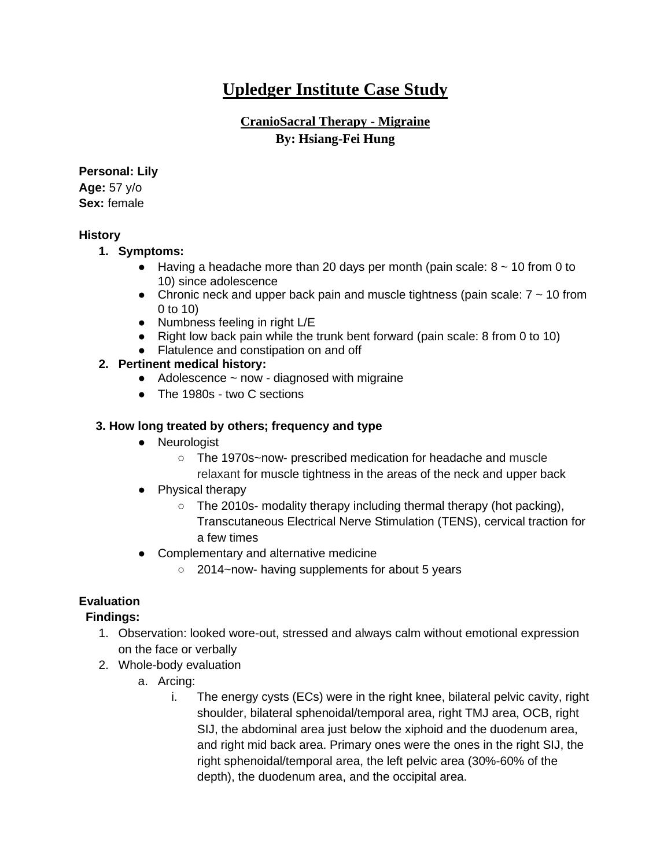# **Upledger Institute Case Study**

## **CranioSacral Therapy - Migraine By: Hsiang-Fei Hung**

# **Personal: Lily Age:** 57 y/o

**Sex:** female

### **History**

- **1. Symptoms:** 
	- Having a headache more than 20 days per month (pain scale:  $8 \sim 10$  from 0 to 10) since adolescence
	- Chronic neck and upper back pain and muscle tightness (pain scale:  $7 \sim 10$  from 0 to 10)
	- Numbness feeling in right L/E
	- Right low back pain while the trunk bent forward (pain scale: 8 from 0 to 10)
	- Flatulence and constipation on and off

### **2. Pertinent medical history:**

- $\bullet$  Adolescence  $\sim$  now diagnosed with migraine
- The 1980s two C sections

### **3. How long treated by others; frequency and type**

- Neurologist
	- The 1970s~now- prescribed medication for headache and muscle relaxant for muscle tightness in the areas of the neck and upper back
- Physical therapy
	- The 2010s- modality therapy including thermal therapy (hot packing), Transcutaneous Electrical Nerve Stimulation (TENS), cervical traction for a few times
- Complementary and alternative medicine
	- 2014~now- having supplements for about 5 years

# **Evaluation**

### **Findings:**

- 1. Observation: looked wore-out, stressed and always calm without emotional expression on the face or verbally
- 2. Whole-body evaluation
	- a. Arcing:
		- i. The energy cysts (ECs) were in the right knee, bilateral pelvic cavity, right shoulder, bilateral sphenoidal/temporal area, right TMJ area, OCB, right SIJ, the abdominal area just below the xiphoid and the duodenum area, and right mid back area. Primary ones were the ones in the right SIJ, the right sphenoidal/temporal area, the left pelvic area (30%-60% of the depth), the duodenum area, and the occipital area.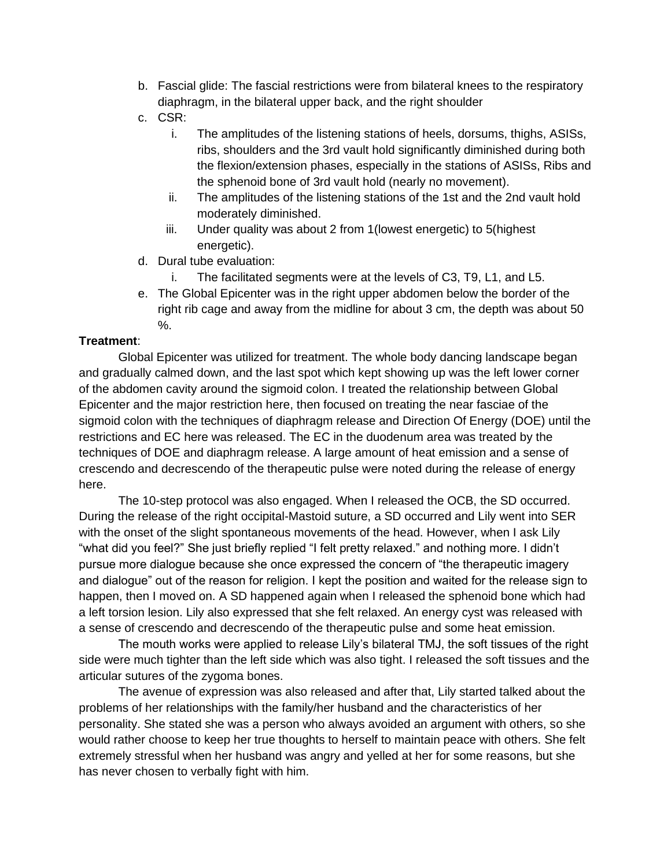- b. Fascial glide: The fascial restrictions were from bilateral knees to the respiratory diaphragm, in the bilateral upper back, and the right shoulder
- c. CSR:
	- i. The amplitudes of the listening stations of heels, dorsums, thighs, ASISs, ribs, shoulders and the 3rd vault hold significantly diminished during both the flexion/extension phases, especially in the stations of ASISs, Ribs and the sphenoid bone of 3rd vault hold (nearly no movement).
	- ii. The amplitudes of the listening stations of the 1st and the 2nd vault hold moderately diminished.
	- iii. Under quality was about 2 from 1(lowest energetic) to 5(highest energetic).
- d. Dural tube evaluation:
	- i. The facilitated segments were at the levels of C3, T9, L1, and L5.
- e. The Global Epicenter was in the right upper abdomen below the border of the right rib cage and away from the midline for about 3 cm, the depth was about 50 %.

#### **Treatment**:

Global Epicenter was utilized for treatment. The whole body dancing landscape began and gradually calmed down, and the last spot which kept showing up was the left lower corner of the abdomen cavity around the sigmoid colon. I treated the relationship between Global Epicenter and the major restriction here, then focused on treating the near fasciae of the sigmoid colon with the techniques of diaphragm release and Direction Of Energy (DOE) until the restrictions and EC here was released. The EC in the duodenum area was treated by the techniques of DOE and diaphragm release. A large amount of heat emission and a sense of crescendo and decrescendo of the therapeutic pulse were noted during the release of energy here.

The 10-step protocol was also engaged. When I released the OCB, the SD occurred. During the release of the right occipital-Mastoid suture, a SD occurred and Lily went into SER with the onset of the slight spontaneous movements of the head. However, when I ask Lily "what did you feel?" She just briefly replied "I felt pretty relaxed." and nothing more. I didn't pursue more dialogue because she once expressed the concern of "the therapeutic imagery and dialogue" out of the reason for religion. I kept the position and waited for the release sign to happen, then I moved on. A SD happened again when I released the sphenoid bone which had a left torsion lesion. Lily also expressed that she felt relaxed. An energy cyst was released with a sense of crescendo and decrescendo of the therapeutic pulse and some heat emission.

The mouth works were applied to release Lily's bilateral TMJ, the soft tissues of the right side were much tighter than the left side which was also tight. I released the soft tissues and the articular sutures of the zygoma bones.

The avenue of expression was also released and after that, Lily started talked about the problems of her relationships with the family/her husband and the characteristics of her personality. She stated she was a person who always avoided an argument with others, so she would rather choose to keep her true thoughts to herself to maintain peace with others. She felt extremely stressful when her husband was angry and yelled at her for some reasons, but she has never chosen to verbally fight with him.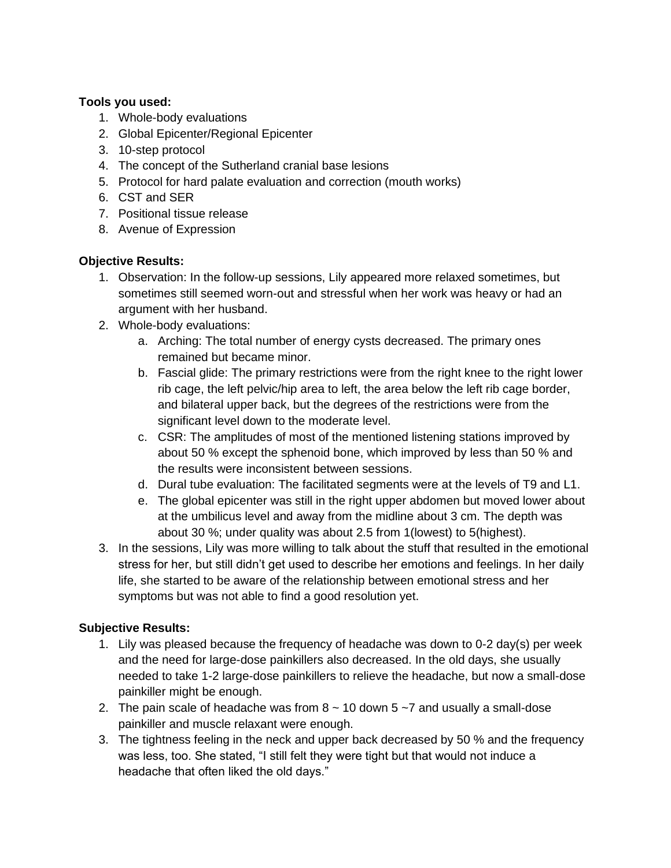#### **Tools you used:**

- 1. Whole-body evaluations
- 2. Global Epicenter/Regional Epicenter
- 3. 10-step protocol
- 4. The concept of the Sutherland cranial base lesions
- 5. Protocol for hard palate evaluation and correction (mouth works)
- 6. CST and SER
- 7. Positional tissue release
- 8. Avenue of Expression

#### **Objective Results:**

- 1. Observation: In the follow-up sessions, Lily appeared more relaxed sometimes, but sometimes still seemed worn-out and stressful when her work was heavy or had an argument with her husband.
- 2. Whole-body evaluations:
	- a. Arching: The total number of energy cysts decreased. The primary ones remained but became minor.
	- b. Fascial glide: The primary restrictions were from the right knee to the right lower rib cage, the left pelvic/hip area to left, the area below the left rib cage border, and bilateral upper back, but the degrees of the restrictions were from the significant level down to the moderate level.
	- c. CSR: The amplitudes of most of the mentioned listening stations improved by about 50 % except the sphenoid bone, which improved by less than 50 % and the results were inconsistent between sessions.
	- d. Dural tube evaluation: The facilitated segments were at the levels of T9 and L1.
	- e. The global epicenter was still in the right upper abdomen but moved lower about at the umbilicus level and away from the midline about 3 cm. The depth was about 30 %; under quality was about 2.5 from 1(lowest) to 5(highest).
- 3. In the sessions, Lily was more willing to talk about the stuff that resulted in the emotional stress for her, but still didn't get used to describe her emotions and feelings. In her daily life, she started to be aware of the relationship between emotional stress and her symptoms but was not able to find a good resolution yet.

### **Subjective Results:**

- 1. Lily was pleased because the frequency of headache was down to 0-2 day(s) per week and the need for large-dose painkillers also decreased. In the old days, she usually needed to take 1-2 large-dose painkillers to relieve the headache, but now a small-dose painkiller might be enough.
- 2. The pain scale of headache was from  $8 \sim 10$  down  $5 \sim 7$  and usually a small-dose painkiller and muscle relaxant were enough.
- 3. The tightness feeling in the neck and upper back decreased by 50 % and the frequency was less, too. She stated, "I still felt they were tight but that would not induce a headache that often liked the old days."